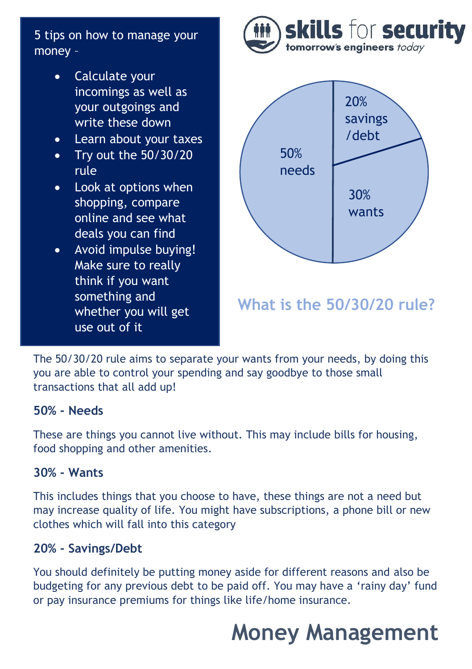5 tips on how to manage your money –

- Calculate your incomings as well as your outgoings and write these down
- Learn about your taxes
- Try out the 50/30/20 rule
- Look at options when shopping, compare online and see what deals you can find
- Avoid impulse buying! Make sure to really think if you want something and whether you will get use out of it





The 50/30/20 rule aims to separate your wants from your needs, by doing this you are able to control your spending and say goodbye to those small transactions that all add up!

### **50% - Needs**

These are things you cannot live without. This may include bills for housing, food shopping and other amenities.

### **30% - Wants**

This includes things that you choose to have, these things are not a need but may increase quality of life. You might have subscriptions, a phone bill or new clothes which will fall into this category

### **20% - Savings/Debt**

You should definitely be putting money aside for different reasons and also be budgeting for any previous debt to be paid off. You may have a 'rainy day' fund or pay insurance premiums for things like life/home insurance.

# **Money Management**